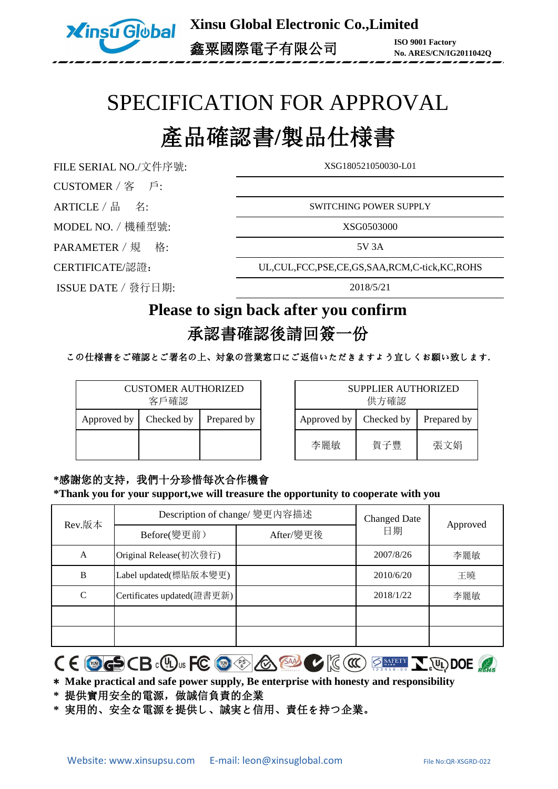

**Xinsu Global Electronic Co.,Limited** 鑫粟國際電子有限公司 **ISO 9001 Factory**

**No. ARES/CN/IG2011042Q**

# SPECIFICATION FOR APPROVAL

## 產品確認書**/**製品仕様書

FILE SERIAL NO./文件序號: XSG180521050030-L01

CUSTOMER/客 戶:

MODEL NO. / 機種型號: XSG0503000

PARAMETER / 規 格: 5V 3A

ISSUE DATE/發行日期:

ARTICLE / 品 名: SWITCHING POWER SUPPLY

CERTIFICATE/認證: UL,CUL,FCC,PSE,CE,GS,SAA,RCM,C-tick,KC,ROHS

2018/5/21

### **Please to sign back after you confirm**

### 承認書確認後請回簽一份

この仕様書をご確認とご署名の上、対象の営業窓口にご返信いただきますよう宜しくお願い致します**.**

| <b>CUSTOMER AUTHORIZED</b><br>客戶確認 |             |  |  |
|------------------------------------|-------------|--|--|
| Approved by                        | Prepared by |  |  |
|                                    |             |  |  |

| SUPPLIER AUTHORIZED<br>供方確認 |             |     |  |
|-----------------------------|-------------|-----|--|
| Approved by                 | Prepared by |     |  |
| 李麗敏                         | 賀子豐         | 張文娟 |  |

**\***感謝您的支持,我們十分珍惜每次合作機會 **\*Thank you for your support,we will treasure the opportunity to cooperate with you**

| Rev.版本       | Description of change/ 變更內容描述 |           | <b>Changed Date</b> |          |
|--------------|-------------------------------|-----------|---------------------|----------|
|              | Before(變更前)                   | After/變更後 | 日期                  | Approved |
| A            | Original Release(初次發行)        |           | 2007/8/26           | 李麗敏      |
| B            | Label updated(標貼版本變更)         |           | 2010/6/20           | 王曉       |
| $\mathsf{C}$ | Certificates updated(證書更新)    |           | 2018/1/22           | 李麗敏      |
|              |                               |           |                     |          |
|              |                               |           |                     |          |

 $C \in \text{C}_{\text{C}}$  (B.C.B. C.D.us FC  $\text{C}_{\text{C}}$  )  $\text{C}_{\text{C}}$  (SAMPLE )  $\text{C}_{\text{C}}$  (CC)  $\text{C}_{\text{MFTM}}$   $\text{C}_{\text{C}}$  (U) DOE (A)

\* **Make practical and safe power supply, Be enterprise with honesty and responsibility**

**\*** 提供實用安全的電源,做誠信負責的企業

**\*** 実用的、安全な電源を提供し、誠実と信用、責任を持つ企業。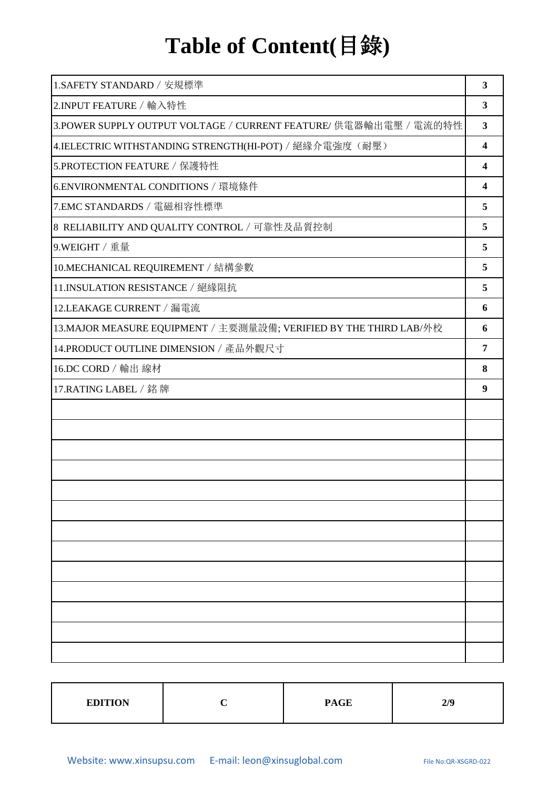# **Table of Content(**目錄**)**

| 1.SAFETY STANDARD / 安規標準                                           | 3                       |
|--------------------------------------------------------------------|-------------------------|
| 2.INPUT FEATURE / 輸入特性                                             | 3                       |
| 3.POWER SUPPLY OUTPUT VOLTAGE / CURRENT FEATURE/ 供電器輸出電壓 / 電流的特性   | $\overline{\mathbf{3}}$ |
| 4.IELECTRIC WITHSTANDING STRENGTH(HI-POT) / 絕緣介電強度(耐壓)             | $\overline{\mathbf{4}}$ |
| 5.PROTECTION FEATURE / 保護特性                                        | $\overline{\mathbf{4}}$ |
| 6.ENVIRONMENTAL CONDITIONS / 環境條件                                  | 4                       |
| 7.EMC STANDARDS / 電磁相容性標準                                          | 5                       |
| 8 RELIABILITY AND QUALITY CONTROL / 可靠性及品質控制                       | 5                       |
| 9.WEIGHT / 重量                                                      | 5                       |
| 10.MECHANICAL REQUIREMENT / 結構參數                                   | 5                       |
| 11.INSULATION RESISTANCE / 絕緣阻抗                                    | 5                       |
| 12.LEAKAGE CURRENT / 漏電流                                           | 6                       |
| 13. MAJOR MEASURE EQUIPMENT / 主要測量設備; VERIFIED BY THE THIRD LAB/外校 | 6                       |
| 14.PRODUCT OUTLINE DIMENSION / 產品外觀尺寸                              | 7                       |
| 16.DC CORD / 輸出 線材                                                 | 8                       |
| 17.RATING LABEL / 銘牌                                               | 9                       |
|                                                                    |                         |
|                                                                    |                         |
|                                                                    |                         |
|                                                                    |                         |
|                                                                    |                         |
|                                                                    |                         |
|                                                                    |                         |
|                                                                    |                         |
|                                                                    |                         |
|                                                                    |                         |
|                                                                    |                         |
|                                                                    |                         |
|                                                                    |                         |

| <b>EDITION</b> | <b>PAGE</b> | 2/9 |
|----------------|-------------|-----|
|                |             |     |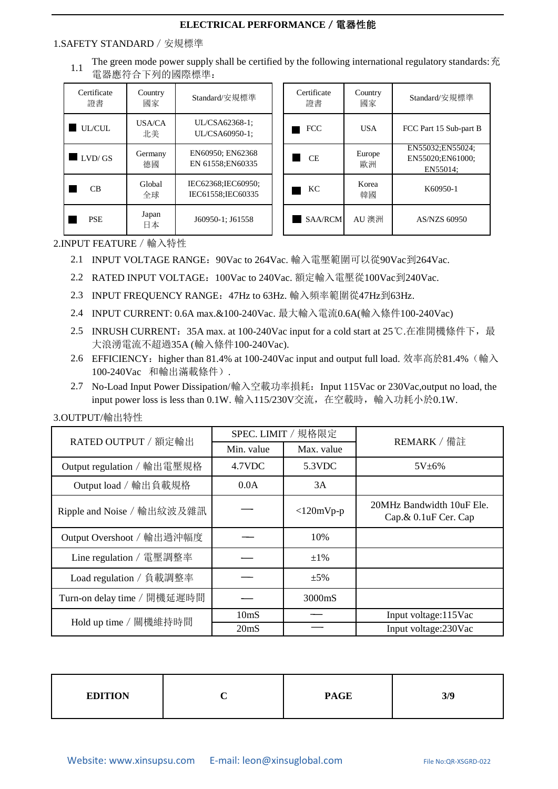#### 1.SAFETY STANDARD/安規標準

1.1 The green mode power supply shall be certified by the following international regulatory standards: 充 電器應符合下列的國際標準:

| Certificate<br>證書 | Country<br>國家 | Standard/安規標準                           | Certific<br>諮書 |
|-------------------|---------------|-----------------------------------------|----------------|
| <b>UL/CUL</b>     | USA/CA<br>北美  | UL/CSA62368-1;<br>UL/CSA60950-1:        | <b>FCC</b>     |
| LVD/GS            | Germany<br>德國 | EN60950; EN62368<br>EN 61558;EN60335    | CE.            |
| СB                | Global<br>全球  | IEC62368;IEC60950;<br>IEC61558:IEC60335 | KC.            |
| <b>PSE</b>        | Japan<br>日本   | J60950-1: J61558                        | SAA            |

| Certificate<br>證書 | Country<br>國家 | Standard/安規標準                                    |
|-------------------|---------------|--------------------------------------------------|
| FCC               | USA           | FCC Part 15 Sub-part B                           |
| CE.               | Europe<br>歐洲  | EN55032;EN55024;<br>EN55020:EN61000:<br>EN55014: |
| KС                | Korea<br>韓國   | K60950-1                                         |
| SAA/RCM           | AU 澳洲         | AS/NZS 60950                                     |

2.INPUT FEATURE/輸入特性

- 2.1 INPUT VOLTAGE RANGE:90Vac to 264Vac. 輸入電壓範圍可以從90Vac到264Vac.
- 2.2 RATED INPUT VOLTAGE:100Vac to 240Vac. 額定輸入電壓從100Vac到240Vac.
- INPUT FREQUENCY RANGE:47Hz to 63Hz. 輸入頻率範圍從47Hz到63Hz. 2.3
- INPUT CURRENT: 0.6A max.&100-240Vac. 最大輸入電流0.6A(輸入條件100-240Vac) 2.4
- 2.5 INRUSH CURRENT:35A max. at 100-240Vac input for a cold start at 25℃.在准開機條件下,最 大浪湧電流不超過35A (輸入條件100-240Vac).
- 2.6 EFFICIENCY:higher than 81.4% at 100-240Vac input and output full load. 效率高於81.4%(輸入 100-240Vac 和輸出滿載條件).
- 2.7 No-Load Input Power Dissipation/輸入空載功率損耗:Input 115Vac or 230Vac,output no load, the input power loss is less than 0.1W. 輸入115/230V交流,在空載時,輸入功耗小於0.1W.

| RATED OUTPUT / 額定輸出         |                   | SPEC. LIMIT / 規格限定 | REMARK / 備註                                       |  |
|-----------------------------|-------------------|--------------------|---------------------------------------------------|--|
|                             | Min. value        | Max. value         |                                                   |  |
| Output regulation / 輸出電壓規格  | 4.7VDC            | 5.3VDC             | $5V + 6%$                                         |  |
| Output load / 輸出負載規格        | 0.0A              | 3A                 |                                                   |  |
| Ripple and Noise / 輸出紋波及雜訊  |                   | $<$ 120mVp-p       | 20MHz Bandwidth 10uF Ele.<br>Cap.& 0.1uF Cer. Cap |  |
| Output Overshoot / 輸出過沖幅度   |                   | 10%                |                                                   |  |
| Line regulation / 電壓調整率     |                   | $\pm 1\%$          |                                                   |  |
| Load regulation / 負載調整率     |                   | $\pm$ 5%           |                                                   |  |
| Turn-on delay time / 開機延遲時間 |                   | 3000mS             |                                                   |  |
| Hold up time / 關機維持時間       | 10 <sub>m</sub> S |                    | Input voltage:115Vac                              |  |
|                             | 20 <sub>ms</sub>  |                    | Input voltage:230Vac                              |  |

3.OUTPUT/輸出特性

| <b>EDITION</b> | ∼ | <b>PAGE</b> | 3/9 |
|----------------|---|-------------|-----|
|----------------|---|-------------|-----|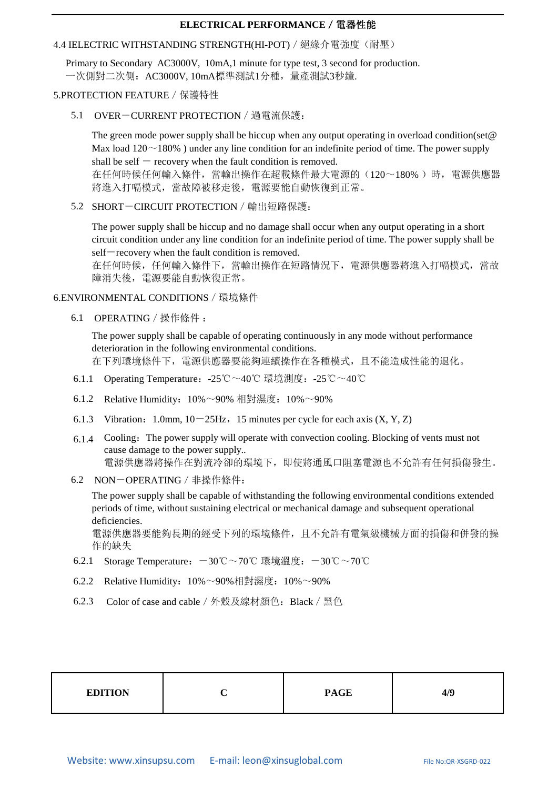#### 4.4 IELECTRIC WITHSTANDING STRENGTH(HI-POT) / 絕緣介電強度(耐壓)

Primary to Secondary AC3000V, 10mA,1 minute for type test, 3 second for production. 一次側對二次側:AC3000V, 10mA標準測試1分種,量產測試3秒鐘.

#### 5.PROTECTION FEATURE/保護特性

5.1 OVER-CURRENT PROTECTION/過電流保護:

The green mode power supply shall be hiccup when any output operating in overload condition(set@ Max load  $120 \sim 180\%$ ) under any line condition for an indefinite period of time. The power supply shall be self  $-$  recovery when the fault condition is removed. 在任何時候任何輸入條件,當輸出操作在超載條件最大電源的(120~180% )時,電源供應器 將進入打嗝模式,當故障被移走後,電源要能自動恢復到正常。

5.2 SHORT-CIRCUIT PROTECTION/輸出短路保護:

The power supply shall be hiccup and no damage shall occur when any output operating in a short circuit condition under any line condition for an indefinite period of time. The power supply shall be self-recovery when the fault condition is removed.

在任何時候,任何輸入條件下,當輸出操作在短路情況下,電源供應器將進入打嗝模式,當故 障消失後,電源要能自動恢復正常。

#### 6.ENVIRONMENTAL CONDITIONS/環境條件

6.1 OPERATING/操作條件 :

The power supply shall be capable of operating continuously in any mode without performance deterioration in the following environmental conditions. 在下列環境條件下,電源供應器要能夠連續操作在各種模式,且不能造成性能的退化。

- 6.1.1 Operating Temperature:-25℃~40℃ 環境測度:-25℃~40℃
- 6.1.2 Relative Humidity:10%~90% 相對濕度:10%~90%
- 6.1.3 Vibration: 1.0mm,  $10-25$ Hz, 15 minutes per cycle for each axis  $(X, Y, Z)$
- 6.1.4 Cooling:The power supply will operate with convection cooling. Blocking of vents must not cause damage to the power supply.. 電源供應器將操作在對流冷卻的環境下,即使將通風口阻塞電源也不允許有任何損傷發生。
- 6.2 NON-OPERATING/非操作條件:

The power supply shall be capable of withstanding the following environmental conditions extended periods of time, without sustaining electrical or mechanical damage and subsequent operational deficiencies.

電源供應器要能夠長期的經受下列的環境條件,且不允許有電氣級機械方面的損傷和併發的操 作的缺失

- 6.2.1 Storage Temperature:-30℃~70℃ 環境溫度:-30℃~70℃
- 6.2.2 Relative Humidity:10%~90%相對濕度:10%~90%
- 6.2.3 Color of case and cable/外殼及線材顏色:Black/黑色

| <b>EDITION</b> |  | <b>PAGE</b> | 4/9 |
|----------------|--|-------------|-----|
|----------------|--|-------------|-----|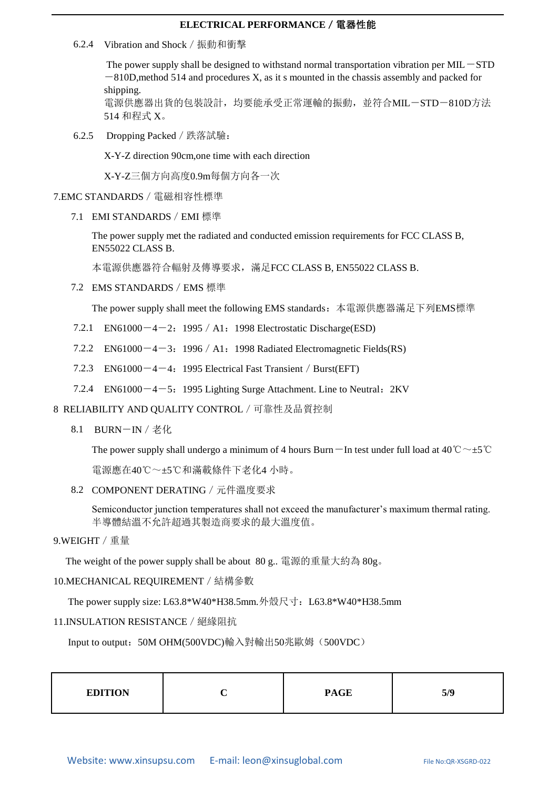6.2.4 Vibration and Shock/振動和衝擊

The power supply shall be designed to withstand normal transportation vibration per  $MIL-STD$  $-810D$ , method 514 and procedures X, as it s mounted in the chassis assembly and packed for shipping.

電源供應器出貨的包裝設計,均要能承受正常運輸的振動,並符合MIL-STD-810D方法 514 和程式 X。

6.2.5 Dropping Packed/跌落試驗:

X-Y-Z direction 90cm,one time with each direction

X-Y-Z三個方向高度0.9m每個方向各一次

7.EMC STANDARDS/電磁相容性標準

7.1 EMI STANDARDS/EMI 標準

The power supply met the radiated and conducted emission requirements for FCC CLASS B, EN55022 CLASS B.

本電源供應器符合輻射及傳導要求,滿足FCC CLASS B, EN55022 CLASS B.

7.2 EMS STANDARDS/EMS 標準

The power supply shall meet the following EMS standards:本電源供應器滿足下列EMS標準

- 7.2.1 EN61000 $-4-2$ : 1995 / A1: 1998 Electrostatic Discharge(ESD)
- 7.2.2 EN61000 $-4-3$ : 1996 / A1: 1998 Radiated Electromagnetic Fields(RS)
- 7.2.3 EN61000 $-4-4$ : 1995 Electrical Fast Transient / Burst(EFT)
- 7.2.4 EN61000 $-4-5$ : 1995 Lighting Surge Attachment. Line to Neutral: 2KV
- 8 RELIABILITY AND QUALITY CONTROL/可靠性及品質控制
	- 8.1 BURN-IN/老化

The power supply shall undergo a minimum of 4 hours Burn $-\text{In}$  test under full load at 40°C  $\sim \pm 5^{\circ}\text{C}$ 

電源應在40℃~±5℃和滿載條件下老化4小時。

8.2 COMPONENT DERATING/元件溫度要求

Semiconductor junction temperatures shall not exceed the manufacturer's maximum thermal rating. 半導體結溫不允許超過其製造商要求的最大溫度值。

#### 9.WEIGHT/重量

The weight of the power supply shall be about 80 g.. 電源的重量大約為 80g。

#### 10.MECHANICAL REQUIREMENT/結構參數

The power supply size: L63.8\*W40\*H38.5mm.外殼尺寸:L63.8\*W40\*H38.5mm

#### 11.INSULATION RESISTANCE/絕緣阻抗

Input to output: 50M OHM(500VDC)輸入對輸出50兆歐姆(500VDC)

| <b>EDITION</b> | <b>PAGE</b> | 5/9 |
|----------------|-------------|-----|
|                |             |     |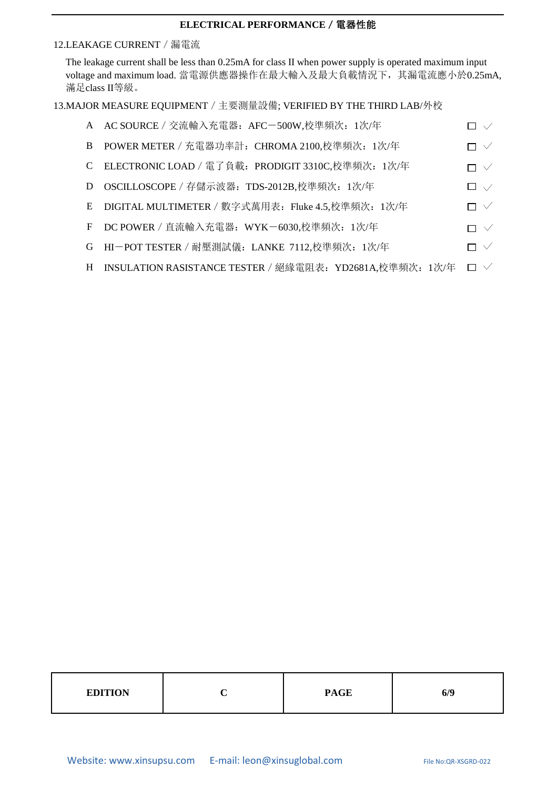#### 12.LEAKAGE CURRENT/漏電流

The leakage current shall be less than 0.25mA for class II when power supply is operated maximum input voltage and maximum load. 當電源供應器操作在最大輸入及最大負載情況下,其漏電流應小於0.25mA, 滿足class II等級。

#### 13.MAJOR MEASURE EQUIPMENT/主要測量設備; VERIFIED BY THE THIRD LAB/外校

| A AC SOURCE / 交流輸入充電器: AFC-500W,校準頻次: 1次/年                 | $\square \vee$ |
|------------------------------------------------------------|----------------|
| B POWER METER / 充電器功率計: CHROMA 2100,校準頻次: 1次/年             | $\Box \vee$    |
| C ELECTRONIC LOAD / 電了負載: PRODIGIT 3310C,校準頻次: 1次/年        | $\Box \vee$    |
| D OSCILLOSCOPE / 存儲示波器: TDS-2012B,校準頻次: 1次/年               | $\square \vee$ |
| E DIGITAL MULTIMETER / 數字式萬用表: Fluke 4.5,校準頻次: 1次/年        | $\Box \vee$    |
| F DC POWER / 直流輸入充電器: WYK-6030,校準頻次: 1次/年                  | $\Box \ \vee$  |
| G HI-POT TESTER / 耐壓測試儀: LANKE 7112,校準頻次: 1次/年             | $\Box \vee$    |
| H INSULATION RASISTANCE TESTER / 絕緣電阻表: YD2681A,校準頻次: 1次/年 | $\Box \vee$    |

| <b>PAGE</b><br><b>EDITION</b><br>6/9 |  |
|--------------------------------------|--|
|--------------------------------------|--|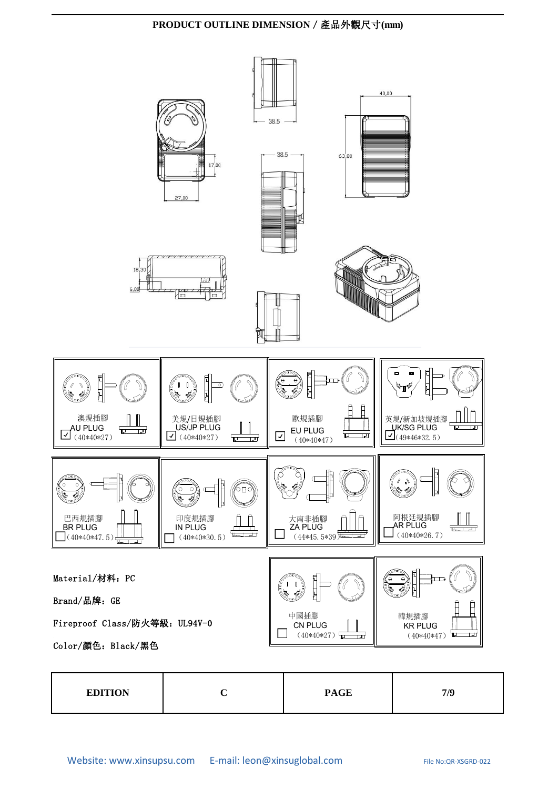#### **PRODUCT OUTLINE DIMENSION**/產品外觀尺寸**(mm)**



| <b>EDITION</b> |  | <b>PAGE</b> | 7/0 |
|----------------|--|-------------|-----|
|----------------|--|-------------|-----|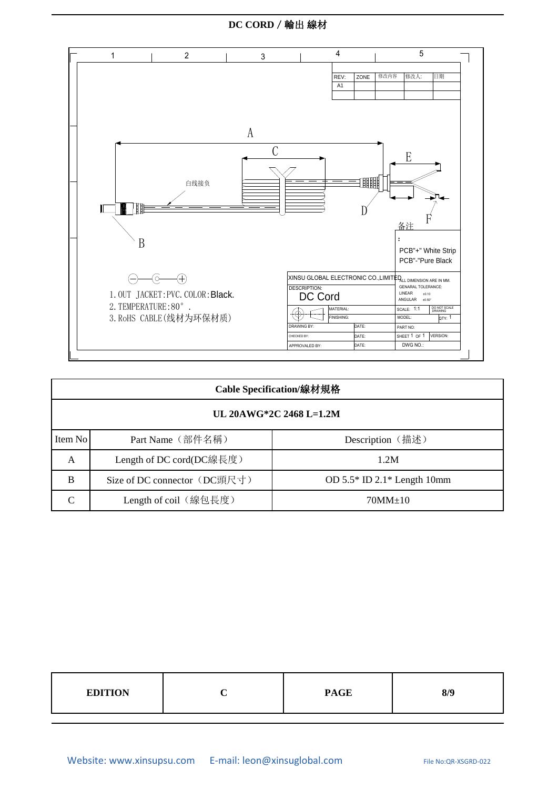#### **DC CORD**/輸出 線材



| Cable Specification/線材規格 |                              |                                 |  |  |  |
|--------------------------|------------------------------|---------------------------------|--|--|--|
| UL 20AWG*2C 2468 L=1.2M  |                              |                                 |  |  |  |
| Item No                  | Part Name (部件名稱)             | Description (描述)                |  |  |  |
| A                        | Length of DC cord(DC線長度)     | 1.2M                            |  |  |  |
| B                        | Size of DC connector (DC頭尺寸) | OD $5.5*$ ID $2.1*$ Length 10mm |  |  |  |
| C                        | Length of coil (線包長度)        | $70MM \pm 10$                   |  |  |  |

| <b>PAGE</b><br><b>EDITION</b><br>8/9 |
|--------------------------------------|
|--------------------------------------|